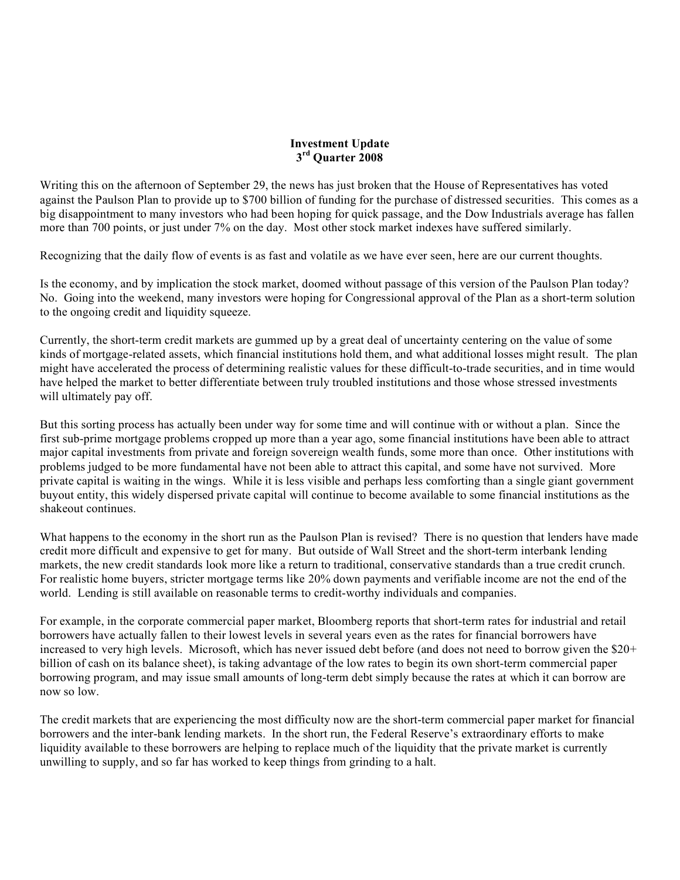## **Investment Update 3rd Quarter 2008**

Writing this on the afternoon of September 29, the news has just broken that the House of Representatives has voted against the Paulson Plan to provide up to \$700 billion of funding for the purchase of distressed securities. This comes as a big disappointment to many investors who had been hoping for quick passage, and the Dow Industrials average has fallen more than 700 points, or just under 7% on the day. Most other stock market indexes have suffered similarly.

Recognizing that the daily flow of events is as fast and volatile as we have ever seen, here are our current thoughts.

Is the economy, and by implication the stock market, doomed without passage of this version of the Paulson Plan today? No. Going into the weekend, many investors were hoping for Congressional approval of the Plan as a short-term solution to the ongoing credit and liquidity squeeze.

Currently, the short-term credit markets are gummed up by a great deal of uncertainty centering on the value of some kinds of mortgage-related assets, which financial institutions hold them, and what additional losses might result. The plan might have accelerated the process of determining realistic values for these difficult-to-trade securities, and in time would have helped the market to better differentiate between truly troubled institutions and those whose stressed investments will ultimately pay off.

But this sorting process has actually been under way for some time and will continue with or without a plan. Since the first sub-prime mortgage problems cropped up more than a year ago, some financial institutions have been able to attract major capital investments from private and foreign sovereign wealth funds, some more than once. Other institutions with problems judged to be more fundamental have not been able to attract this capital, and some have not survived. More private capital is waiting in the wings. While it is less visible and perhaps less comforting than a single giant government buyout entity, this widely dispersed private capital will continue to become available to some financial institutions as the shakeout continues.

What happens to the economy in the short run as the Paulson Plan is revised? There is no question that lenders have made credit more difficult and expensive to get for many. But outside of Wall Street and the short-term interbank lending markets, the new credit standards look more like a return to traditional, conservative standards than a true credit crunch. For realistic home buyers, stricter mortgage terms like 20% down payments and verifiable income are not the end of the world. Lending is still available on reasonable terms to credit-worthy individuals and companies.

For example, in the corporate commercial paper market, Bloomberg reports that short-term rates for industrial and retail borrowers have actually fallen to their lowest levels in several years even as the rates for financial borrowers have increased to very high levels. Microsoft, which has never issued debt before (and does not need to borrow given the \$20+ billion of cash on its balance sheet), is taking advantage of the low rates to begin its own short-term commercial paper borrowing program, and may issue small amounts of long-term debt simply because the rates at which it can borrow are now so low.

The credit markets that are experiencing the most difficulty now are the short-term commercial paper market for financial borrowers and the inter-bank lending markets. In the short run, the Federal Reserve's extraordinary efforts to make liquidity available to these borrowers are helping to replace much of the liquidity that the private market is currently unwilling to supply, and so far has worked to keep things from grinding to a halt.